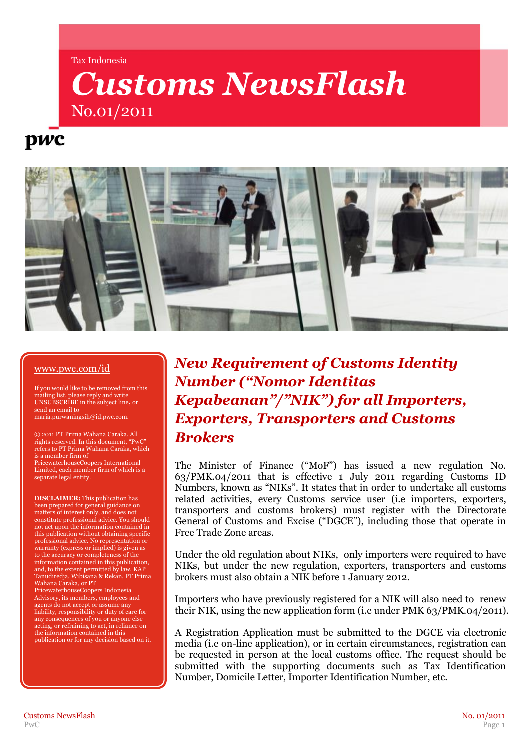#### Tax Indonesia

# *Customs NewsFlash* No.01/2011

## pwc



#### [www.pwc.com/id](http://www.pwc.com/id)

If you would like to be removed from this mailing list, please reply and write UNSUBSCRIBE in the subject line**,** or send an email to maria.purwaningsih@id.pwc.com.

© 2011 PT Prima Wahana Caraka. All rights reserved. In this document, "PwC" refers to PT Prima Wahana Caraka, which is a member firm of

PricewaterhouseCoopers International Limited, each member firm of which is a separate legal entity.

**DISCLAIMER:** This publication has been prepared for general guidance on matters of interest only, and does not constitute professional advice. You should not act upon the information contained in this publication without obtaining specific professional advice. No representation or warranty (express or implied) is given as to the accuracy or completeness of the information contained in this publication, and, to the extent permitted by law, KAP Tanudiredja, Wibisana & Rekan, PT Prima Wahana Caraka, or PT

PricewaterhouseCoopers Indonesia Advisory, its members, employees and agents do not accept or assume any liability, responsibility or duty of care for any consequences of you or anyone else acting, or refraining to act, in reliance on the information contained in this publication or for any decision based on it.

### *New Requirement of Customs Identity Number ("Nomor Identitas Kepabeanan"/"NIK") for all Importers, Exporters, Transporters and Customs Brokers*

The Minister of Finance ("MoF") has issued a new regulation No. 63/PMK.04/2011 that is effective 1 July 2011 regarding Customs ID Numbers, known as "NIKs". It states that in order to undertake all customs related activities, every Customs service user (i.e importers, exporters, transporters and customs brokers) must register with the Directorate General of Customs and Excise ("DGCE"), including those that operate in Free Trade Zone areas.

Under the old regulation about NIKs, only importers were required to have NIKs, but under the new regulation, exporters, transporters and customs brokers must also obtain a NIK before 1 January 2012.

Importers who have previously registered for a NIK will also need to renew their NIK, using the new application form (i.e under PMK 63/PMK.04/2011).

A Registration Application must be submitted to the DGCE via electronic media (i.e on-line application), or in certain circumstances, registration can be requested in person at the local customs office. The request should be submitted with the supporting documents such as Tax Identification Number, Domicile Letter, Importer Identification Number, etc.